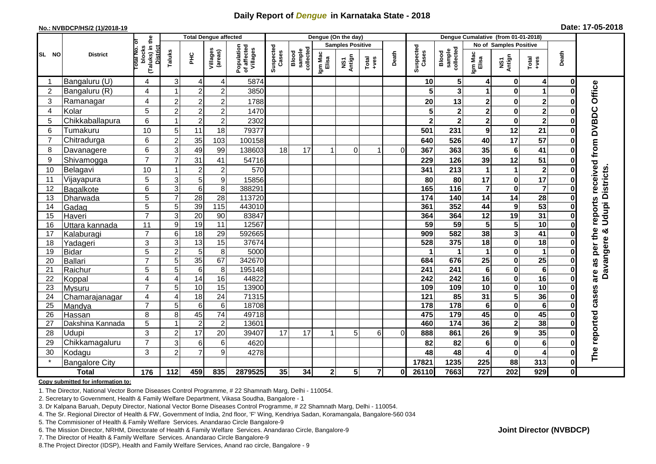## **Daily Report of** *Dengue* **in Karnataka State - 2018**

#### **No.: NVBDCP/HS/2 (1)/2018-19**

| Date: 17-05-2018 |  |  |  |  |
|------------------|--|--|--|--|
|------------------|--|--|--|--|

|                | <b>Total Dengue affected</b><br>ō |                                                   |                     |                         |                      |                                       | Dengue (On the day) |                              |                  |               |                         |                        |                    | Dengue Cumalative (from 01-01-2018) |                         |                                        |                         |             |                             |  |
|----------------|-----------------------------------|---------------------------------------------------|---------------------|-------------------------|----------------------|---------------------------------------|---------------------|------------------------------|------------------|---------------|-------------------------|------------------------|--------------------|-------------------------------------|-------------------------|----------------------------------------|-------------------------|-------------|-----------------------------|--|
|                |                                   |                                                   |                     | <b>Samples Positive</b> |                      |                                       |                     |                              |                  |               |                         | No of Samples Positive |                    |                                     |                         |                                        |                         |             |                             |  |
| SL NO          | <b>District</b>                   | (Taluks) in the<br>District<br>otal No.<br>blocks | Taluks              | PНC                     | Villages<br>(areas)  | Population<br>of affected<br>Villages | Suspected<br>Cases  | sample<br>collected<br>Blood | Igm Mac<br>Elisa | NS1<br>Antign | Total<br>$+ve$ s        | Death                  | Suspected<br>Cases | collected<br>sample<br>Blood        | Igm Mac<br>Elisa        | NS1<br>Antign                          | Total<br>+ves           | Death       |                             |  |
| -1             | Bangaluru (U)                     | 4                                                 | 3                   | 4                       | 4                    | 5874                                  |                     |                              |                  |               |                         |                        | 10                 | 5 <sub>5</sub>                      | 4                       | $\mathbf 0$                            | 4                       | $\mathbf 0$ |                             |  |
| $\overline{2}$ | Bangaluru (R)                     | 4                                                 |                     | $\overline{2}$          | $\overline{2}$       | 3850                                  |                     |                              |                  |               |                         |                        |                    | 3                                   |                         | $\mathbf 0$                            | 1                       | 0           |                             |  |
| 3              | Ramanagar                         | 4                                                 | $\overline{c}$      | $\boldsymbol{2}$        | $\overline{c}$       | 1788                                  |                     |                              |                  |               |                         |                        | 20                 | 13                                  | 2                       | $\pmb{0}$                              | $\overline{\mathbf{2}}$ | 0           | Office                      |  |
| $\overline{4}$ | Kolar                             | 5                                                 | $\overline{2}$      | $\overline{2}$          | $\overline{c}$       | 1470                                  |                     |                              |                  |               |                         |                        |                    | $\mathbf 2$                         | $\overline{\mathbf{c}}$ | $\bf{0}$                               | $\overline{\mathbf{2}}$ | O           |                             |  |
| 5              | Chikkaballapura                   | 6                                                 |                     | $\overline{2}$          | $\overline{c}$       | 2302                                  |                     |                              |                  |               |                         |                        | $\mathbf{2}$       | $\overline{\mathbf{2}}$             | $\overline{\mathbf{2}}$ | $\pmb{0}$                              | $\overline{\mathbf{2}}$ | O           |                             |  |
| 6              | Tumakuru                          | 10                                                | 5                   | 11                      | 18                   | 79377                                 |                     |                              |                  |               |                         |                        | 501                | 231                                 | 9                       | 12                                     | 21                      | ŋ           |                             |  |
| $\overline{7}$ | Chitradurga                       | 6                                                 | $\overline{c}$      | 35                      | 103                  | 100158                                |                     |                              |                  |               |                         |                        | 640                | 526                                 | 40                      | $\overline{17}$                        | 57                      | 0           |                             |  |
| 8              | Davanagere                        | 6                                                 | 3                   | 49                      | 99                   | 138603                                | 18                  | 17                           |                  | $\Omega$      | 1                       | $\Omega$               | 367                | 363                                 | 35                      | $\bf 6$                                | 41                      | 0           |                             |  |
| 9              | Shivamogga                        | $\overline{7}$                                    | $\overline{7}$      | 31                      | 41                   | 54716                                 |                     |                              |                  |               |                         |                        | 229                | 126                                 | 39                      | 12                                     | 51                      | 0           | reports received from DVBDC |  |
| 10             | Belagavi                          | 10                                                |                     | $\boldsymbol{2}$        | $\overline{c}$       | 570                                   |                     |                              |                  |               |                         |                        | 341                | 213                                 | 1                       | $\mathbf{1}$                           | $\boldsymbol{2}$        | 0           |                             |  |
| 11             | Vijayapura                        | 5                                                 | 3                   | 5                       | 9                    | 15856                                 |                     |                              |                  |               |                         |                        | 80                 | 80                                  | 17                      | $\bf{0}$                               | 17                      |             | <b>Udupi Districts</b>      |  |
| 12             | Bagalkote                         | 6                                                 | $\overline{3}$      | $\overline{6}$          | 8                    | 388291                                |                     |                              |                  |               |                         |                        | 165                | $\frac{116}{116}$                   | $\overline{7}$          | $\mathbf 0$                            | $\overline{\mathbf{7}}$ | $\bf{0}$    |                             |  |
| 13             | Dharwada                          | 5                                                 | $\overline{7}$      | $\overline{28}$         | $\overline{28}$      | 113720                                |                     |                              |                  |               |                         |                        | 174                | 140                                 | $\overline{14}$         | $\overline{14}$                        | $\overline{28}$         | $\bf{0}$    |                             |  |
| 14             | Gadag                             | 5                                                 | 5                   | 39                      | 115                  | 443010                                |                     |                              |                  |               |                         |                        | 361                | 352                                 | 44                      | $\boldsymbol{9}$                       | 53                      |             |                             |  |
| 15             | Haveri                            | $\overline{7}$                                    | 3                   | 20                      | 90                   | 83847                                 |                     |                              |                  |               |                         |                        | 364                | 364                                 | 12                      | 19                                     | 31                      | 0           |                             |  |
| 16             | Uttara kannada                    | 11                                                | $\boldsymbol{9}$    | 19                      | 11                   | 12567                                 |                     |                              |                  |               |                         |                        | 59                 | 59                                  | 5                       | 5                                      | 10                      | 0           |                             |  |
| 17             | Kalaburagi                        | $\overline{7}$                                    | $6\phantom{1}6$     | $\overline{18}$         | $\overline{29}$      | 592665                                |                     |                              |                  |               |                         |                        | 909                | 582                                 | 38                      | $\overline{\mathbf{3}}$                | $\overline{41}$         | O           | න්                          |  |
| 18             | Yadageri                          | 3                                                 | 3                   | 13                      | $\overline{15}$      | 37674                                 |                     |                              |                  |               |                         |                        | 528                | 375                                 | 18                      | $\mathbf 0$                            | $\overline{18}$         | O           |                             |  |
| 19             | <b>Bidar</b>                      | 5                                                 | $\overline{2}$      | 5                       | 8                    | 5000                                  |                     |                              |                  |               |                         |                        |                    |                                     | 1                       | $\pmb{0}$                              | $\mathbf 1$             | 0           |                             |  |
| 20             | <b>Ballari</b>                    | $\overline{7}$                                    | 5                   | 35                      | 67                   | 342670                                |                     |                              |                  |               |                         |                        | 684                | 676                                 | $\overline{25}$         | $\bf{0}$                               | $\overline{25}$         |             | as per the<br>Davangere     |  |
| 21             | Raichur                           | 5                                                 | 5                   | $\,6\,$                 | 8                    | 195148                                |                     |                              |                  |               |                         |                        | 241                | 241                                 | 6                       | $\pmb{0}$                              | $\overline{6}$          | ŋ           | are                         |  |
| 22             | Koppal                            | 4                                                 | $\overline{4}$      | $\overline{14}$         | 16                   | 44822                                 |                     |                              |                  |               |                         |                        | 242                | 242                                 | 16                      | $\mathbf 0$                            | 16                      |             |                             |  |
| 23             | Mysuru                            | $\overline{7}$                                    | 5                   | 10                      | 15                   | 13900                                 |                     |                              |                  |               |                         |                        | 109                | 109                                 | 10                      | $\overline{\mathbf{0}}$                | 10                      | O           |                             |  |
| 24             | Chamarajanagar                    | 4<br>$\overline{7}$                               | $\overline{4}$<br>5 | $\overline{18}$<br>6    | $\overline{24}$      | 71315<br>18708                        |                     |                              |                  |               |                         |                        | 121<br>178         | 85<br>178                           | 31                      | $\overline{\mathbf{5}}$<br>$\mathbf 0$ | 36<br>$6\phantom{1}6$   | O<br>U      | cases                       |  |
| 25<br>26       | Mandya                            | 8                                                 | 8                   | 45                      | 6<br>$\overline{74}$ | 49718                                 |                     |                              |                  |               |                         |                        | 475                | 179                                 | 6<br>45                 | $\mathbf 0$                            | 45                      |             |                             |  |
| 27             | Hassan<br>Dakshina Kannada        | 5                                                 |                     | $\overline{2}$          | $\overline{2}$       | 13601                                 |                     |                              |                  |               |                         |                        | 460                | $\overline{174}$                    | 36                      | $\overline{\mathbf{2}}$                | 38                      | 0<br>0      |                             |  |
| 28             | Udupi                             | 3                                                 | $\overline{2}$      | 17                      | 20                   | 39407                                 | 17                  | 17                           |                  | 5             | 6                       | 0                      | 888                | 861                                 | 26                      | $\boldsymbol{9}$                       | 35                      | $\bf{0}$    |                             |  |
| 29             |                                   | $\overline{7}$                                    | 3                   |                         | 6                    | 4620                                  |                     |                              |                  |               |                         |                        | 82                 | 82                                  |                         | $\mathbf 0$                            |                         |             |                             |  |
| 30             | Chikkamagaluru                    | 3                                                 | $\overline{2}$      | 6<br>$\overline{7}$     | 9                    | 4278                                  |                     |                              |                  |               |                         |                        | 48                 | 48                                  | 6<br>4                  | $\mathbf 0$                            | 6<br>4                  | O           | The reported                |  |
|                | Kodagu                            |                                                   |                     |                         |                      |                                       |                     |                              |                  |               |                         |                        | 17821              | 1235                                | 225                     | 88                                     | 313                     | 0           |                             |  |
|                | <b>Bangalore City</b>             | $\frac{1}{176}$                                   | 112                 |                         |                      |                                       |                     |                              |                  |               | $\overline{\mathbf{r}}$ |                        |                    |                                     |                         | 202                                    | 929                     |             |                             |  |
|                | <b>Total</b>                      |                                                   |                     | 459                     | 835                  | 2879525                               | 35                  | 34                           | $\mathbf{2}$     | 5             |                         | 01                     | 26110              | 7663                                | 727                     |                                        |                         | 0           |                             |  |

#### **Copy submitted for information to:**

1. The Director, National Vector Borne Diseases Control Programme, # 22 Shamnath Marg, Delhi - 110054.

2. Secretary to Government, Health & Family Welfare Department, Vikasa Soudha, Bangalore - 1

3. Dr Kalpana Baruah, Deputy Director, National Vector Borne Diseases Control Programme, # 22 Shamnath Marg, Delhi - 110054.

4. The Sr. Regional Director of Health & FW, Government of India, 2nd floor, 'F' Wing, Kendriya Sadan, Koramangala, Bangalore-560 034

5. The Commisioner of Health & Family Welfare Services. Anandarao Circle Bangalore-9

6. The Mission Director, NRHM, Directorate of Health & Family Welfare Services. Anandarao Circle, Bangalore-9

7. The Director of Health & Family Welfare Services. Anandarao Circle Bangalore-9

8.The Project Director (IDSP), Health and Family Welfare Services, Anand rao circle, Bangalore - 9